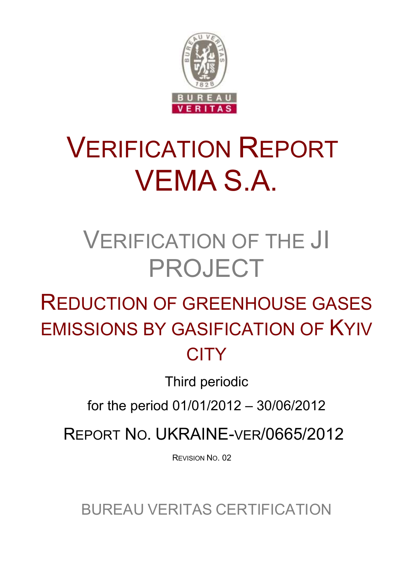

# VERIFICATION REPORT VEMA S.A.

## VERIFICATION OF THE JI PROJECT

## REDUCTION OF GREENHOUSE GASES EMISSIONS BY GASIFICATION OF KYIV **CITY**

Third periodic

for the period 01/01/2012 – 30/06/2012

REPORT NO. UKRAINE-VER/0665/2012

REVISION NO. 02

BUREAU VERITAS CERTIFICATION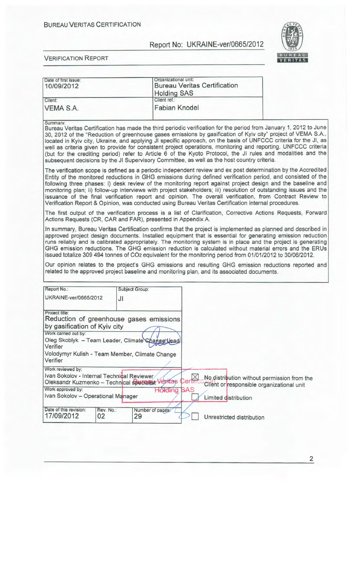

**BUREAU**<br>**VERITAS E R I TA** 

VERIFICATION REPORT

| Date of first issue:<br>10/09/2012 | Organizational unit:<br><b>Bureau Veritas Certification</b><br><b>Holding SAS</b> |  |
|------------------------------------|-----------------------------------------------------------------------------------|--|
| Client:<br>VEMA S.A.               | Client ref.:<br><b>Fabian Knodel</b>                                              |  |

Summary:

Bureau Veritas Certification has made the third periodic verification for the period from January 1, 2012 to June 30, 2012 of the "Reduction of greenhouse gases emissions by gasification of Kyiv city" project of VEMA S.A., located in Kyiv city, Ukraine, and applying JI specific approach, on the basis of UNFCCC criteria for the JI, as well as criteria given to provide for consistent project operations, monitoring and reporting. UNFCCC criteria (but for the crediting period) refer to Article 6 of the Kyoto Protocol, the JI rules and modalities and the subsequent decisions by the JI Supervisory Committee, as well as the host country criteria.

The verification scope is defined as a periodic independent review and ex post determination by the Accredited Entity of the monitored reductions in GHG emissions during defined verification period, and consisted of the following three phases: i) desk review of the monitoring report against project design and the baseline and monitoring plan, ii) follow-up interviews with project stakeholders; iii) resolution of outstanding issues and the issuance of the final verification report and opinion. The overall verification, from Contract Review to Verification Report & Opinion, was conducted using Bureau Veritas Certification internal procedures.

The first output of the verification process is a list of Clarification, Corrective Actions Requests, Forward Actions Requests (CR, CAR and FAR), presented in Appendix A.

In summary, Bureau Veritas Certification confirms that the project is implemented as planned and described in approved project design documents. Installed equipment that is essential for generating emission reduction runs reliably and is calibrated appropriately. The monitoring system is in place and the project is generating GHG emission reductions. The GHG emission reduction is calculated without material errors and the ERUs issued totalize 309 494 tonnes of CO2 equivalent for the monitoring period from 01/01/2012 to 30/06/2012.

Our opinion relates to the project's GHG emissions and resulting GHG emission reductions reported and related to the approved project baseline and monitoring plan, and its associated documents.

| Report No.:                                                                                    |                 | Subject Group:                                                                                                                               |                       |                                                                                          |
|------------------------------------------------------------------------------------------------|-----------------|----------------------------------------------------------------------------------------------------------------------------------------------|-----------------------|------------------------------------------------------------------------------------------|
| UKRAINE-ver/0665/2012                                                                          | JI              |                                                                                                                                              |                       |                                                                                          |
| Project title:<br>by gasification of Kyiv city<br>Work carried out by:<br>Verifier<br>Verifier |                 | Reduction of greenhouse gases emissions<br>Oleg Skoblyk - Team Leader, Climate Change Lead<br>Volodymyr Kulish - Team Member, Climate Change |                       |                                                                                          |
| Work reviewed by:<br>Ivan Sokolov - Internal Technical Reviewer<br>Work approved by:           |                 | Oleksandr Kuzmenko - Technical specialist Veritas<br>Holding                                                                                 | Certifi<br><b>BAS</b> | No distribution without permission from the<br>Client or responsible organizational unit |
| Ivan Sokolov - Operational Manager                                                             |                 |                                                                                                                                              |                       | Limited distribution                                                                     |
| Date of this revision:<br>17/09/2012                                                           | Rev. No.:<br>02 | Number of pages:<br>29                                                                                                                       |                       | Unrestricted distribution                                                                |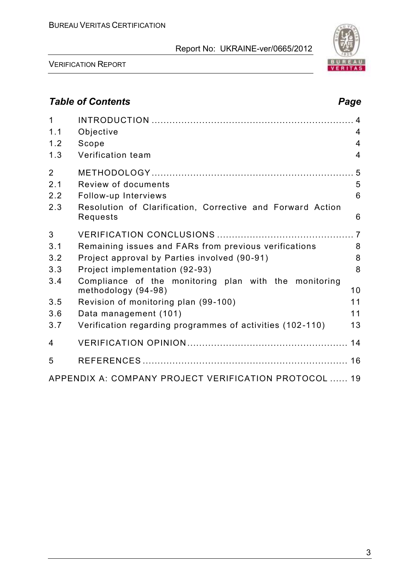

VERIFICATION REPORT

## *Table of Contents Page*

| $\mathbf 1$<br>1.1 | Objective                                                                    | 4              |
|--------------------|------------------------------------------------------------------------------|----------------|
| 1.2                | Scope                                                                        | 4              |
| 1.3                | Verification team                                                            | $\overline{4}$ |
| $\overline{2}$     |                                                                              |                |
| 2.1                | Review of documents                                                          | 5              |
| 2.2                | Follow-up Interviews                                                         | $6\phantom{1}$ |
| 2.3                | Resolution of Clarification, Corrective and Forward Action<br>Requests       | 6              |
| 3                  |                                                                              |                |
| 3.1                | Remaining issues and FARs from previous verifications                        | 8              |
| 3.2                | Project approval by Parties involved (90-91)                                 | 8              |
| 3.3                | Project implementation (92-93)                                               | 8              |
| 3.4                | Compliance of the monitoring plan with the monitoring<br>methodology (94-98) | 10             |
| 3.5                | Revision of monitoring plan (99-100)                                         | 11             |
| 3.6                | Data management (101)                                                        | 11             |
| 3.7                | Verification regarding programmes of activities (102-110)                    | 13             |
| $\overline{4}$     |                                                                              | 14             |
| 5                  |                                                                              |                |
|                    | APPENDIX A: COMPANY PROJECT VERIFICATION PROTOCOL  19                        |                |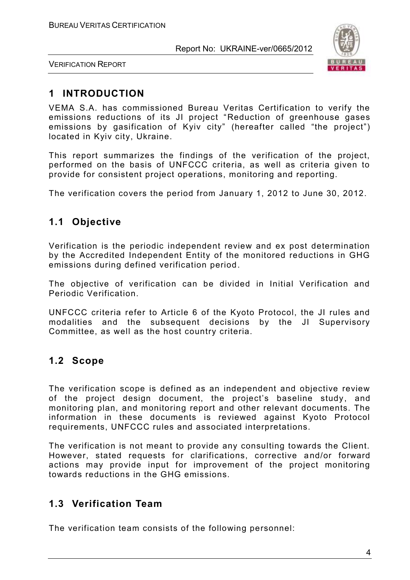

VERIFICATION REPORT

## **1 INTRODUCTION**

VEMA S.A. has commissioned Bureau Veritas Certification to verify the emissions reductions of its JI project "Reduction of greenhouse gases emissions by gasification of Kyiv city" (hereafter called "the project") located in Kyiv city, Ukraine.

This report summarizes the findings of the verification of the project, performed on the basis of UNFCCC criteria, as well as criteria given to provide for consistent project operations, monitoring and reporting.

The verification covers the period from January 1, 2012 to June 30, 2012.

## **1.1 Objective**

Verification is the periodic independent review and ex post determination by the Accredited Independent Entity of the monitored reductions in GHG emissions during defined verification period.

The objective of verification can be divided in Initial Verification and Periodic Verification.

UNFCCC criteria refer to Article 6 of the Kyoto Protocol, the JI rules and modalities and the subsequent decisions by the JI Supervisory Committee, as well as the host country criteria.

#### **1.2 Scope**

The verification scope is defined as an independent and objective review of the project design document, the project's baseline study, and monitoring plan, and monitoring report and other relevant documents. The information in these documents is reviewed against Kyoto Protocol requirements, UNFCCC rules and associated interpretations.

The verification is not meant to provide any consulting towards the Client. However, stated requests for clarifications, corrective a nd/or forward actions may provide input for improvement of the project monitoring towards reductions in the GHG emissions.

## **1.3 Verification Team**

The verification team consists of the following personnel: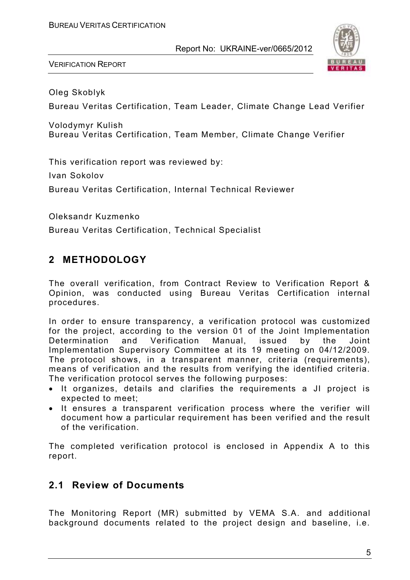

VERIFICATION REPORT

Oleg Skoblyk

Bureau Veritas Certification, Team Leader, Climate Change Lead Verifier

Volodymyr Kulish Bureau Veritas Certification, Team Member, Climate Change Verifier

This verification report was reviewed by:

Ivan Sokolov

Bureau Veritas Certification, Internal Technical Reviewer

Oleksandr Kuzmenko

Bureau Veritas Certification, Technical Specialist

## **2 METHODOLOGY**

The overall verification, from Contract Review to Verification Report & Opinion, was conducted using Bureau Veritas Certification internal procedures.

In order to ensure transparency, a verification protocol was customized for the project, according to the version 01 of the Joint Implementation Determination and Verification Manual, issued by the Joint Implementation Supervisory Committee at its 19 meeting on 04/12/2009. The protocol shows, in a transparent manner, criteria (requirements), means of verification and the results from verifying the identified criteria. The verification protocol serves the following purposes:

- It organizes, details and clarifies the requirements a JI project is expected to meet;
- It ensures a transparent verification process where the verifier will document how a particular requirement has been verified and the result of the verification.

The completed verification protocol is enclosed in Appendix A to this report.

#### **2.1 Review of Documents**

The Monitoring Report (MR) submitted by VEMA S.A. and additional background documents related to the project design and baseline, i.e.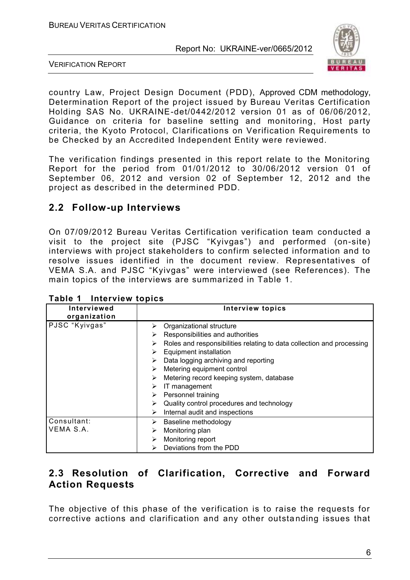

VERIFICATION REPORT

country Law, Project Design Document (PDD), Approved CDM methodology, Determination Report of the project issued by Bureau Veritas Certification Holding SAS No. UKRAINE-det/0442/2012 version 01 as of 06/06/2012, Guidance on criteria for baseline setting and monitoring, Host party criteria, the Kyoto Protocol, Clarifications on Verification Requirements to be Checked by an Accredited Independent Entity were reviewed.

The verification findings presented in this report relate to the Monitoring Report for the period from 01/01/2012 to 30/06/2012 version 01 of September 06, 2012 and version 02 of September 12, 2012 and the project as described in the determined PDD.

## **2.2 Follow-up Interviews**

On 07/09/2012 Bureau Veritas Certification verification team conducted a visit to the project site (PJSC "Kyivgas") and performed (on-site) interviews with project stakeholders to confirm selected information and to resolve issues identified in the document review. Representatives of VEMA S.A. and PJSC "Kyivgas" were interviewed (see References). The main topics of the interviews are summarized in Table 1.

| Interviewed<br>organization | <b>Interview topics</b>                                                    |
|-----------------------------|----------------------------------------------------------------------------|
| PJSC "Kyivgas"              | Organizational structure                                                   |
|                             | Responsibilities and authorities<br>⋗                                      |
|                             | Roles and responsibilities relating to data collection and processing<br>⋗ |
|                             | <b>Equipment installation</b><br>➤                                         |
|                             | Data logging archiving and reporting                                       |
|                             | Metering equipment control<br>➤                                            |
|                             | Metering record keeping system, database<br>⋗                              |
|                             | IT management                                                              |
|                             | Personnel training                                                         |
|                             | Quality control procedures and technology                                  |
|                             | Internal audit and inspections<br>⋗                                        |
| Consultant:                 | Baseline methodology<br>⋗                                                  |
| VEMA S.A.                   | Monitoring plan                                                            |
|                             | Monitoring report                                                          |
|                             | Deviations from the PDD                                                    |

**Table 1 Interview topics**

## **2.3 Resolution of Clarification, Corrective and Forward Action Requests**

The objective of this phase of the verification is to raise the requests for corrective actions and clarification and any other outstanding issues that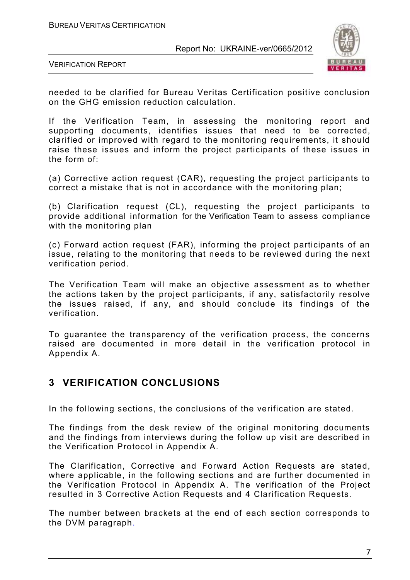

VERIFICATION REPORT

needed to be clarified for Bureau Veritas Certification positive conclusion on the GHG emission reduction calculation.

If the Verification Team, in assessing the monitoring report and supporting documents, identifies issues that need to be corrected, clarified or improved with regard to the monitoring requirements, it should raise these issues and inform the project participants of these issues in the form of:

(a) Corrective action request (CAR), requesting the project participants to correct a mistake that is not in accordance with the monitoring plan;

(b) Clarification request (CL), requesting the project participants to provide additional information for the Verification Team to assess compliance with the monitoring plan

(c) Forward action request (FAR), informing the project participants of an issue, relating to the monitoring that needs to be reviewed during the next verification period.

The Verification Team will make an objective assessment as to whether the actions taken by the project participants, if any, satisfactorily resolve the issues raised, if any, and should conclude its findings of the verification.

To guarantee the transparency of the verification process, the concerns raised are documented in more detail in the verification protocol in Appendix A.

#### **3 VERIFICATION CONCLUSIONS**

In the following sections, the conclusions of the verification are stated.

The findings from the desk review of the original monitoring documents and the findings from interviews during the follow up visit are described in the Verification Protocol in Appendix A.

The Clarification, Corrective and Forward Action Requests are stated, where applicable, in the following sections and are further documented in the Verification Protocol in Appendix A. The verification of the Project resulted in 3 Corrective Action Requests and 4 Clarification Requests.

The number between brackets at the end of each section corresponds to the DVM paragraph.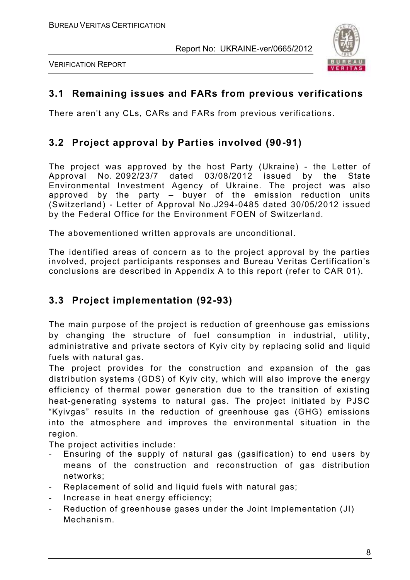



### **3.1 Remaining issues and FARs from previous verifications**

There aren't any CLs, CARs and FARs from previous verifications.

## **3.2 Project approval by Parties involved (90-91)**

The project was approved by the host Party (Ukraine) - the Letter of Approval No. 2092/23/7 dated 03/08/2012 issued by the State Environmental Investment Agency of Ukraine. The project was also approved by the party – buyer of the emission reduction units (Switzerland) - Letter of Approval No.J294-0485 dated 30/05/2012 issued by the Federal Office for the Environment FOEN of Switzerland.

The abovementioned written approvals are unconditional.

The identified areas of concern as to the project approval by the parties involved, project participants responses and Bureau Veritas Certification's conclusions are described in Appendix A to this report (refer to CAR 01).

#### **3.3 Project implementation (92-93)**

The main purpose of the project is reduction of greenhouse gas emissions by changing the structure of fuel consumption in industrial, utility, administrative and private sectors of Kyiv city by replacing solid and liquid fuels with natural gas.

The project provides for the construction and expansion of the gas distribution systems (GDS) of Kyiv city, which will also improve the energy efficiency of thermal power generation due to the transition of existing heat-generating systems to natural gas. The project initiated by PJSC "Kyivgas" results in the reduction of greenhouse gas (GHG) emissions into the atmosphere and improves the environmental situation in the region.

The project activities include:

- Ensuring of the supply of natural gas (gasification) to end users by means of the construction and reconstruction of gas distribution networks;
- Replacement of solid and liquid fuels with natural gas;
- Increase in heat energy efficiency;
- Reduction of greenhouse gases under the Joint Implementation (JI) Mechanism.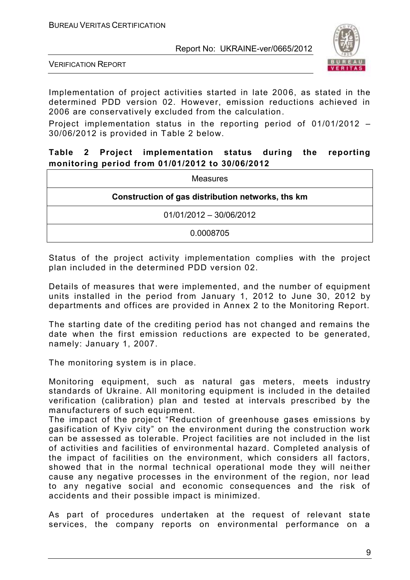

VERIFICATION REPORT

Implementation of project activities started in late 200 6, as stated in the determined PDD version 02. However, emission reductions achieved in 2006 are conservatively excluded from the calculation.

Project implementation status in the reporting period of 01/01/2012 – 30/06/2012 is provided in Table 2 below.

#### **Table 2 Project implementation status during the reporting monitoring period from 01/01/2012 to 30/06/2012**

| Measures                                          |
|---------------------------------------------------|
| Construction of gas distribution networks, ths km |
| 01/01/2012 - 30/06/2012                           |
| 0.0008705                                         |

Status of the project activity implementation complies with the project plan included in the determined PDD version 02.

Details of measures that were implemented, and the number of equipment units installed in the period from January 1, 2012 to June 30, 2012 by departments and offices are provided in Annex 2 to the Monitoring Report.

The starting date of the crediting period has not changed and remains the date when the first emission reductions are expected to be generated, namely: January 1, 2007.

The monitoring system is in place.

Monitoring equipment, such as natural gas meters, meets industry standards of Ukraine. All monitoring equipment is included in the detailed verification (calibration) plan and tested at intervals prescribed by the manufacturers of such equipment.

The impact of the project "Reduction of greenhouse gases emissions by gasification of Kyiv city" on the environment during the construction work can be assessed as tolerable. Project facilities are not included in the list of activities and facilities of environmental hazard. Completed analysis of the impact of facilities on the environment, which considers all factors, showed that in the normal technical operational mode they will neither cause any negative processes in the environment of the region, nor lead to any negative social and economic consequences and the risk of accidents and their possible impact is minimized.

As part of procedures undertaken at the request of relevant state services, the company reports on environmental performance on a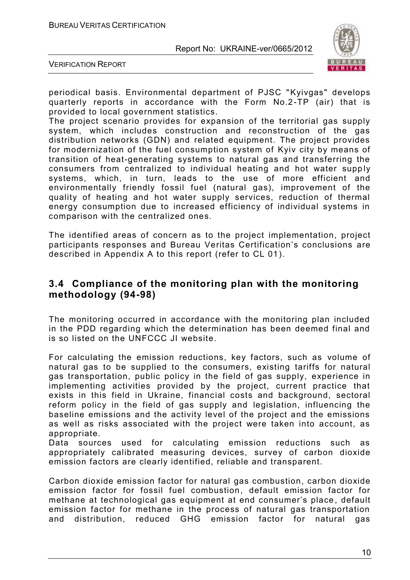

VERIFICATION REPORT

periodical basis. Environmental department of PJSC "Kyivgas" develops quarterly reports in accordance with the Form No.2-TP (air) that is provided to local government statistics.

The project scenario provides for expansion of the territorial gas supply system, which includes construction and reconstruction of the gas distribution networks (GDN) and related equipment. The project provides for modernization of the fuel consumption system of Kyiv city by means of transition of heat-generating systems to natural gas and transferring the consumers from centralized to individual heating and hot water supp ly systems, which, in turn, leads to the use of more efficient and environmentally friendly fossil fuel (natural gas), improvement of the quality of heating and hot water supply services, reduction of thermal energy consumption due to increased efficiency of individual systems in comparison with the centralized ones.

The identified areas of concern as to the project implementation, project participants responses and Bureau Veritas Certification's conclusions are described in Appendix A to this report (refer to CL 01).

#### **3.4 Compliance of the monitoring plan with the monitoring methodology (94-98)**

The monitoring occurred in accordance with the monitoring plan included in the PDD regarding which the determination has been deemed final and is so listed on the UNFCCC JI website.

For calculating the emission reductions, key factors, such as volume of natural gas to be supplied to the consumers, existing tariffs for natural gas transportation, public policy in the field of gas supply, experience in implementing activities provided by the project, current practice that exists in this field in Ukraine, financial costs and background, sectoral reform policy in the field of gas supply and legislation, influencing the baseline emissions and the activity level of the project and the emissions as well as risks associated with the project were taken into account, as appropriate.

Data sources used for calculating emission reductions such as appropriately calibrated measuring devices, survey of carbon dioxide emission factors are clearly identified, reliable and transparent.

Carbon dioxide emission factor for natural gas combustion, carbon dioxide emission factor for fossil fuel combustion, default emission factor for methane at technological gas equipment at end consumer's place , default emission factor for methane in the process of natural gas transportation and distribution, reduced GHG emission factor for natural gas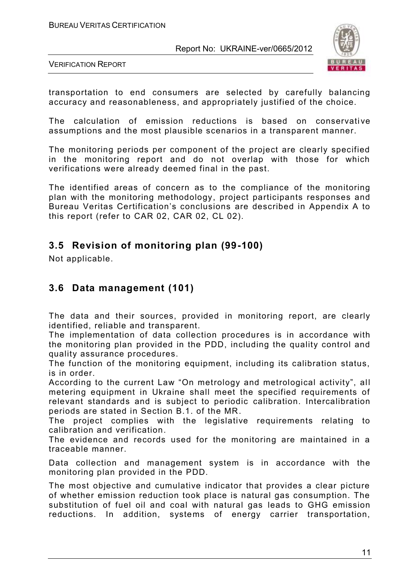

VERIFICATION REPORT

transportation to end consumers are selected by carefully balancing accuracy and reasonableness, and appropriately justified of the choice.

The calculation of emission reductions is based on conservative assumptions and the most plausible scenarios in a transparent manner.

The monitoring periods per component of the project are clearly specified in the monitoring report and do not overlap with those for which verifications were already deemed final in the past.

The identified areas of concern as to the compliance of the monitoring plan with the monitoring methodology, project participants responses and Bureau Veritas Certification's conclusions are described in Appendix A to this report (refer to CAR 02, CAR 02, CL 02).

### **3.5 Revision of monitoring plan (99-100)**

Not applicable.

### **3.6 Data management (101)**

The data and their sources, provided in monitoring report, are clearly identified, reliable and transparent.

The implementation of data collection procedures is in accordance with the monitoring plan provided in the PDD, including the quality control and quality assurance procedures.

The function of the monitoring equipment, including its calibration status, is in order.

According to the current Law "On metrology and metrological activity", all metering equipment in Ukraine shall meet the specified requirements of relevant standards and is subject to periodic calibration. Intercalibration periods are stated in Section B.1. of the MR.

The project complies with the legislative requirements relating to calibration and verification.

The evidence and records used for the monitoring are maintained in a traceable manner.

Data collection and management system is in accordance with the monitoring plan provided in the PDD.

The most objective and cumulative indicator that provides a clear picture of whether emission reduction took place is natural gas consumption. The substitution of fuel oil and coal with natural gas leads to GHG emission reductions. In addition, systems of energy carrier transportation,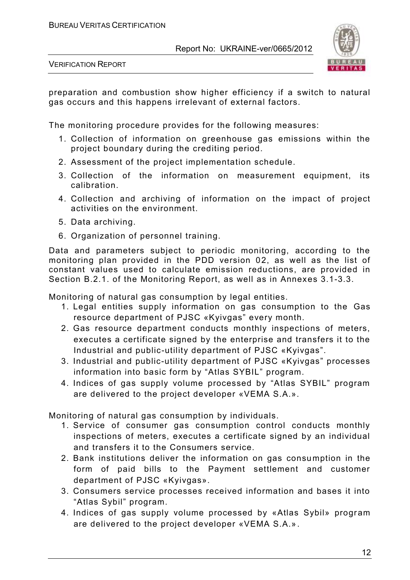

VERIFICATION REPORT

preparation and combustion show higher efficiency if a switch to natural gas occurs and this happens irrelevant of external factors.

The monitoring procedure provides for the following measures:

- 1. Collection of information on greenhouse gas emissions within the project boundary during the crediting period.
- 2. Assessment of the project implementation schedule.
- 3. Collection of the information on measurement equipment, its calibration.
- 4. Collection and archiving of information on the impact of project activities on the environment.
- 5. Data archiving.
- 6. Organization of personnel training.

Data and parameters subject to periodic monitoring, according to the monitoring plan provided in the PDD version 02, as well as the list of constant values used to calculate emission reductions, are provided in Section B.2.1. of the Monitoring Report, as well as in Annexes 3.1-3.3.

Monitoring of natural gas consumption by legal entities.

- 1. Legal entities supply information on gas consumption to the Gas resource department of PJSC «Kyivgas" every month.
- 2. Gas resource department conducts monthly inspections of meters, executes a certificate signed by the enterprise and transfers it to the Industrial and public-utility department of PJSC «Kyivgas".
- 3. Industrial and public-utility department of PJSC «Kyivgas" processes information into basic form by "Atlas SYBIL" program.
- 4. Indices of gas supply volume processed by "Atlas SYBIL" program are delivered to the project developer «VEMA S.A.».

Monitoring of natural gas consumption by individuals.

- 1. Service of consumer gas consumption control conducts monthly inspections of meters, executes a certificate signed by an individual and transfers it to the Consumers service.
- 2. Bank institutions deliver the information on gas consumption in the form of paid bills to the Payment settlement and customer department of PJSC «Kyivgas».
- 3. Consumers service processes received information and bases it into "Atlas Sybil" program.
- 4. Indices of gas supply volume processed by «Atlas Sybil» program are delivered to the project developer «VEMA S.A.».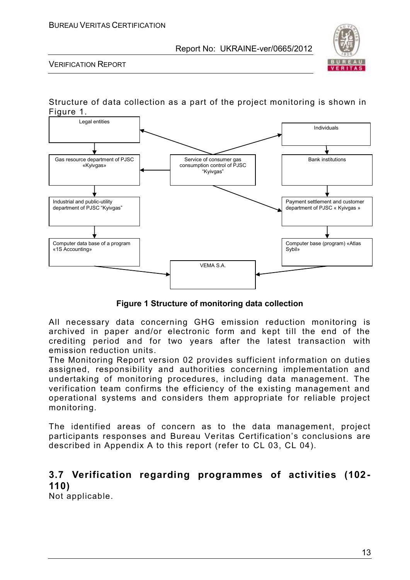

VERIFICATION REPORT

#### Structure of data collection as a part of the project monitoring is shown in Figure 1.



**Figure 1 Structure of monitoring data collection**

All necessary data concerning GHG emission reduction monitoring is archived in paper and/or electronic form and kept till the end of the crediting period and for two years after the latest transaction with emission reduction units.

The Monitoring Report version 02 provides sufficient information on duties assigned, responsibility and authorities concerning implementation and undertaking of monitoring procedures, including data management. The verification team confirms the efficiency of the existing management and operational systems and considers them appropriate for reliable project monitoring.

The identified areas of concern as to the data management, project participants responses and Bureau Veritas Certification's conclusions are described in Appendix A to this report (refer to CL 03, CL 04).

## **3.7 Verification regarding programmes of activities (102- 110)**

Not applicable.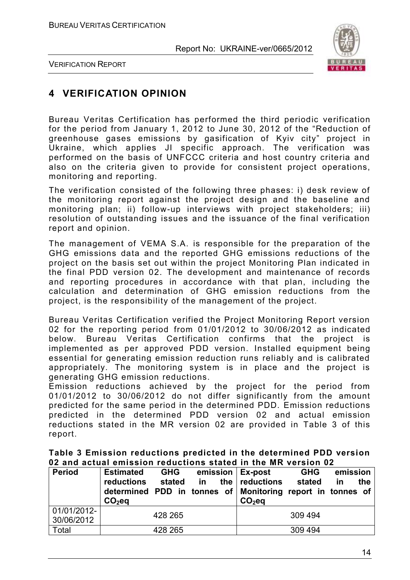

VERIFICATION REPORT

## **4 VERIFICATION OPINION**

Bureau Veritas Certification has performed the third periodic verification for the period from January 1, 2012 to June 30, 2012 of the "Reduction of greenhouse gases emissions by gasification of Kyiv city" project in Ukraine, which applies JI specific approach. The verification was performed on the basis of UNFCCC criteria and host country criteria and also on the criteria given to provide for consistent project operations, monitoring and reporting.

The verification consisted of the following three phases: i) desk review of the monitoring report against the project design and the baseline and monitoring plan; ii) follow-up interviews with project stakeholders; iii) resolution of outstanding issues and the issuance of the final verification report and opinion.

The management of VEMA S.A. is responsible for the preparation of the GHG emissions data and the reported GHG emissions reductions of the project on the basis set out within the project Monitoring Plan indicated in the final PDD version 02. The development and maintenance of records and reporting procedures in accordance with that plan, including the calculation and determination of GHG emission reductions from the project, is the responsibility of the management of the project.

Bureau Veritas Certification verified the Project Monitoring Report version 02 for the reporting period from 01/01/2012 to 30/06/2012 as indicated below. Bureau Veritas Certification confirms that the project is implemented as per approved PDD version. Installed equipment being essential for generating emission reduction runs reliably and is calibrated appropriately. The monitoring system is in place and the project is generating GHG emission reductions.

Emission reductions achieved by the project for the period from 01/01/2012 to 30/06/2012 do not differ significantly from the amount predicted for the same period in the determined PDD. Emission reductions predicted in the determined PDD version 02 and actual emission reductions stated in the MR version 02 are provided in Table 3 of this report.

|  |                                                               |  | Table 3 Emission reductions predicted in the determined PDD version |
|--|---------------------------------------------------------------|--|---------------------------------------------------------------------|
|  | 02 and actual emission reductions stated in the MR version 02 |  |                                                                     |

| <b>Period</b>             | <b>Estimated</b><br>reductions<br>determined PDD in tonnes of Monitoring report in tonnes of<br>$CO2$ eq | <b>GHG</b><br>stated | in | emission   Ex-post<br>the $ $ reductions<br>$CO2$ eq | <b>GHG</b><br>stated | emission<br>in | the |
|---------------------------|----------------------------------------------------------------------------------------------------------|----------------------|----|------------------------------------------------------|----------------------|----------------|-----|
| 01/01/2012-<br>30/06/2012 |                                                                                                          | 428 265              |    |                                                      | 309 494              |                |     |
| Total                     |                                                                                                          | 428 265              |    |                                                      | 309 494              |                |     |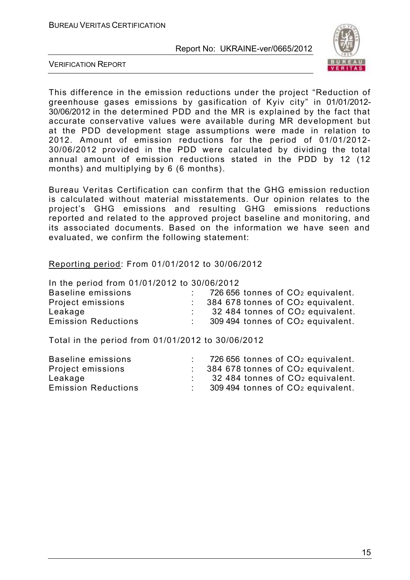

VERIFICATION REPORT

This difference in the emission reductions under the project "Reduction of greenhouse gases emissions by gasification of Kyiv city" in 01/01/2012- 30/06/2012 in the determined PDD and the MR is explained by the fact that accurate conservative values were available during MR development but at the PDD development stage assumptions were made in relation to 2012. Amount of emission reductions for the period of 01/01/2012- 30/06/2012 provided in the PDD were calculated by dividing the total annual amount of emission reductions stated in the PDD by 12 (12 months) and multiplying by 6 (6 months).

Bureau Veritas Certification can confirm that the GHG emission reduction is calculated without material misstatements. Our opinion relates to the project's GHG emissions and resulting GHG emissions reductions reported and related to the approved project baseline and monitoring, and its associated documents. Based on the information we have seen and evaluated, we confirm the following statement:

Reporting period: From 01/01/2012 to 30/06/2012

In the period from 01/01/2012 to 30/06/2012

| Baseline emissions         | 726 656 tonnes of CO <sub>2</sub> equivalent.    |
|----------------------------|--------------------------------------------------|
| Project emissions          | $\therefore$ 384 678 tonnes of $CO2$ equivalent. |
| Leakage                    | 32 484 tonnes of CO <sub>2</sub> equivalent.     |
| <b>Emission Reductions</b> | 309 494 tonnes of CO <sub>2</sub> equivalent.    |
|                            |                                                  |

Total in the period from 01/01/2012 to 30/06/2012

| Baseline emissions         | 726 656 tonnes of CO <sub>2</sub> equivalent.           |
|----------------------------|---------------------------------------------------------|
| Project emissions          | $\approx$ 384 678 tonnes of CO <sub>2</sub> equivalent. |
| Leakage                    | 32 484 tonnes of CO <sub>2</sub> equivalent.            |
| <b>Emission Reductions</b> | 309 494 tonnes of CO <sub>2</sub> equivalent.           |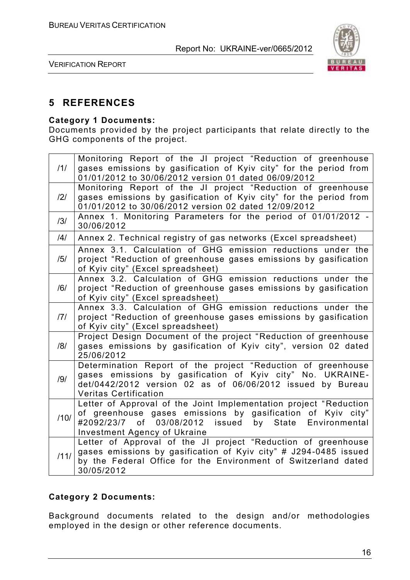

VERIFICATION REPORT

## **5 REFERENCES**

#### **Category 1 Documents:**

Documents provided by the project participants that relate directly to the GHG components of the project.

| 11/            | Monitoring Report of the JI project "Reduction of greenhouse<br>gases emissions by gasification of Kyiv city" for the period from<br>01/01/2012 to 30/06/2012 version 01 dated 06/09/2012                                                  |
|----------------|--------------------------------------------------------------------------------------------------------------------------------------------------------------------------------------------------------------------------------------------|
| $\frac{12}{1}$ | Monitoring Report of the JI project "Reduction of greenhouse<br>gases emissions by gasification of Kyiv city" for the period from<br>01/01/2012 to 30/06/2012 version 02 dated 12/09/2012                                                  |
| /3/            | Annex 1. Monitoring Parameters for the period of 01/01/2012 -<br>30/06/2012                                                                                                                                                                |
| /4/            | Annex 2. Technical registry of gas networks (Excel spreadsheet)                                                                                                                                                                            |
| /5/            | Annex 3.1. Calculation of GHG emission reductions under the<br>project "Reduction of greenhouse gases emissions by gasification<br>of Kyiv city" (Excel spreadsheet)                                                                       |
| /6/            | Annex 3.2. Calculation of GHG emission reductions under the<br>project "Reduction of greenhouse gases emissions by gasification<br>of Kyiv city" (Excel spreadsheet)                                                                       |
| 7              | Annex 3.3. Calculation of GHG emission reductions under the<br>project "Reduction of greenhouse gases emissions by gasification<br>of Kyiv city" (Excel spreadsheet)                                                                       |
| /8/            | Project Design Document of the project "Reduction of greenhouse<br>gases emissions by gasification of Kyiv city", version 02 dated<br>25/06/2012                                                                                           |
| /9/            | Determination Report of the project "Reduction of greenhouse<br>gases emissions by gasification of Kyiv city" No. UKRAINE-<br>det/0442/2012 version 02 as of 06/06/2012 issued by Bureau<br><b>Veritas Certification</b>                   |
| /10/           | Letter of Approval of the Joint Implementation project "Reduction<br>of greenhouse gases emissions by gasification of Kyiv city"<br>03/08/2012<br>issued by State<br>#2092/23/7 of<br>Environmental<br><b>Investment Agency of Ukraine</b> |
| /11/           | Letter of Approval of the JI project "Reduction of greenhouse<br>gases emissions by gasification of Kyiv city" # J294-0485 issued<br>by the Federal Office for the Environment of Switzerland dated<br>30/05/2012                          |

#### **Category 2 Documents:**

Background documents related to the design and/or methodologies employed in the design or other reference documents.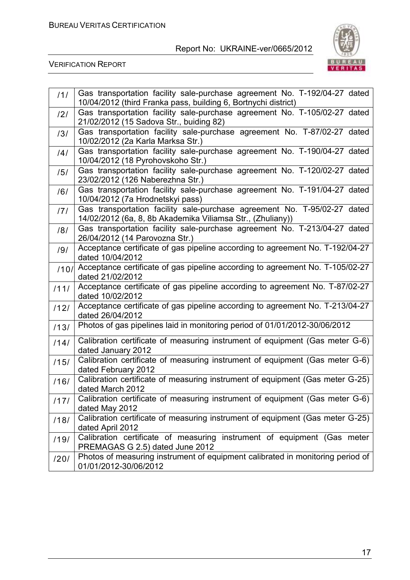

| 111  | Gas transportation facility sale-purchase agreement No. T-192/04-27 dated<br>10/04/2012 (third Franka pass, building 6, Bortnychi district) |
|------|---------------------------------------------------------------------------------------------------------------------------------------------|
| /2/  | Gas transportation facility sale-purchase agreement No. T-105/02-27 dated<br>21/02/2012 (15 Sadova Str., buiding 82)                        |
| /3/  | Gas transportation facility sale-purchase agreement No. T-87/02-27 dated<br>10/02/2012 (2a Karla Marksa Str.)                               |
| /4/  | Gas transportation facility sale-purchase agreement No. T-190/04-27 dated<br>10/04/2012 (18 Pyrohovskoho Str.)                              |
| /5/  | Gas transportation facility sale-purchase agreement No. T-120/02-27 dated<br>23/02/2012 (126 Naberezhna Str.)                               |
| /6/  | Gas transportation facility sale-purchase agreement No. T-191/04-27 dated<br>10/04/2012 (7a Hrodnetskyi pass)                               |
| 171  | Gas transportation facility sale-purchase agreement No. T-95/02-27 dated<br>14/02/2012 (6a, 8, 8b Akademika Viliamsa Str., (Zhuliany))      |
| /8/  | Gas transportation facility sale-purchase agreement No. T-213/04-27 dated<br>26/04/2012 (14 Parovozna Str.)                                 |
| /9/  | Acceptance certificate of gas pipeline according to agreement No. T-192/04-27<br>dated 10/04/2012                                           |
| /10/ | Acceptance certificate of gas pipeline according to agreement No. T-105/02-27<br>dated 21/02/2012                                           |
| 1111 | Acceptance certificate of gas pipeline according to agreement No. T-87/02-27<br>dated 10/02/2012                                            |
| 1121 | Acceptance certificate of gas pipeline according to agreement No. T-213/04-27<br>dated 26/04/2012                                           |
| /13/ | Photos of gas pipelines laid in monitoring period of 01/01/2012-30/06/2012                                                                  |
| 1141 | Calibration certificate of measuring instrument of equipment (Gas meter G-6)<br>dated January 2012                                          |
| /15/ | Calibration certificate of measuring instrument of equipment (Gas meter G-6)<br>dated February 2012                                         |
| /16/ | Calibration certificate of measuring instrument of equipment (Gas meter G-25)<br>dated March 2012                                           |
| 1171 | Calibration certificate of measuring instrument of equipment (Gas meter G-6)<br>dated May 2012                                              |
| /18/ | Calibration certificate of measuring instrument of equipment (Gas meter G-25)<br>dated April 2012                                           |
| /19/ | Calibration certificate of measuring instrument of equipment (Gas meter<br>PREMAGAS G 2.5) dated June 2012                                  |
| /20/ | Photos of measuring instrument of equipment calibrated in monitoring period of<br>01/01/2012-30/06/2012                                     |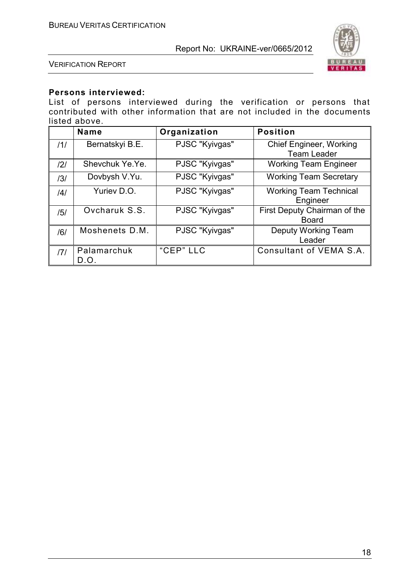

VERIFICATION REPORT

#### **Persons interviewed:**

List of persons interviewed during the verification or persons that contributed with other information that are not included in the documents listed above.

|     | <b>Name</b>         | Organization   | <b>Position</b>                                      |
|-----|---------------------|----------------|------------------------------------------------------|
| 11/ | Bernatskyi B.E.     | PJSC "Kyivgas" | <b>Chief Engineer, Working</b><br><b>Team Leader</b> |
| 2   | Shevchuk Ye.Ye.     | PJSC "Kyivgas" | <b>Working Team Engineer</b>                         |
| /3/ | Dovbysh V.Yu.       | PJSC "Kyivgas" | <b>Working Team Secretary</b>                        |
| /4/ | Yuriev D.O.         | PJSC "Kyivgas" | <b>Working Team Technical</b><br>Engineer            |
| /5/ | Ovcharuk S.S.       | PJSC "Kyivgas" | First Deputy Chairman of the<br><b>Board</b>         |
| /6/ | Moshenets D.M.      | PJSC "Kyivgas" | Deputy Working Team<br>Leader                        |
| 171 | Palamarchuk<br>D.O. | "CEP" LLC      | Consultant of VEMA S.A.                              |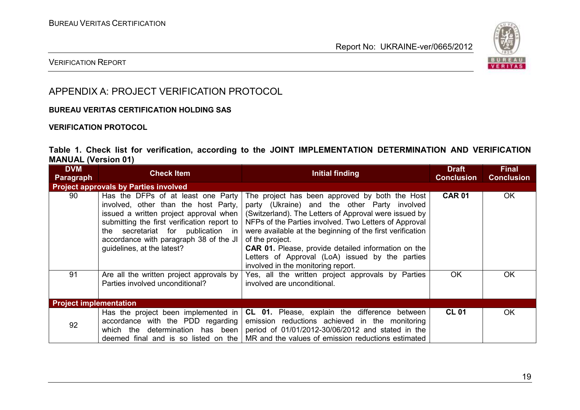

#### VERIFICATION REPORT

## APPENDIX A: PROJECT VERIFICATION PROTOCOL

#### **BUREAU VERITAS CERTIFICATION HOLDING SAS**

#### **VERIFICATION PROTOCOL**

#### **Table 1. Check list for verification, according to the JOINT IMPLEMENTATION DETERMINATION AND VERIFICATION MANUAL (Version 01)**

| <b>DVM</b><br>Paragraph       | <b>Check Item</b>                                                                                                                                                                                    | <b>Initial finding</b>                                                                                                                                                                                                                                                                                                                                                                                                                                                                                                                      | <b>Draft</b><br><b>Conclusion</b> | <b>Final</b><br><b>Conclusion</b> |
|-------------------------------|------------------------------------------------------------------------------------------------------------------------------------------------------------------------------------------------------|---------------------------------------------------------------------------------------------------------------------------------------------------------------------------------------------------------------------------------------------------------------------------------------------------------------------------------------------------------------------------------------------------------------------------------------------------------------------------------------------------------------------------------------------|-----------------------------------|-----------------------------------|
|                               | <b>Project approvals by Parties involved</b>                                                                                                                                                         |                                                                                                                                                                                                                                                                                                                                                                                                                                                                                                                                             |                                   |                                   |
| 90                            | involved, other than the host Party,<br>submitting the first verification report to<br>secretariat for publication in<br>the<br>accordance with paragraph 38 of the JI<br>guidelines, at the latest? | Has the DFPs of at least one Party   The project has been approved by both the Host<br>party (Ukraine) and the other Party involved<br>issued a written project approval when $\vert$ (Switzerland). The Letters of Approval were issued by<br>NFPs of the Parties involved. Two Letters of Approval<br>were available at the beginning of the first verification<br>of the project.<br><b>CAR 01.</b> Please, provide detailed information on the<br>Letters of Approval (LoA) issued by the parties<br>involved in the monitoring report. | <b>CAR 01</b>                     | <b>OK</b>                         |
| 91                            | Are all the written project approvals by<br>Parties involved unconditional?                                                                                                                          | Yes, all the written project approvals by Parties<br>involved are unconditional.                                                                                                                                                                                                                                                                                                                                                                                                                                                            | <b>OK</b>                         | <b>OK</b>                         |
| <b>Project implementation</b> |                                                                                                                                                                                                      |                                                                                                                                                                                                                                                                                                                                                                                                                                                                                                                                             |                                   |                                   |
| 92                            | accordance with the PDD regarding                                                                                                                                                                    | Has the project been implemented in $ CL 01$ . Please, explain the difference between<br>emission reductions achieved in the monitoring<br>which the determination has been   period of 01/01/2012-30/06/2012 and stated in the<br>deemed final and is so listed on the $\vert$ MR and the values of emission reductions estimated                                                                                                                                                                                                          | <b>CL 01</b>                      | <b>OK</b>                         |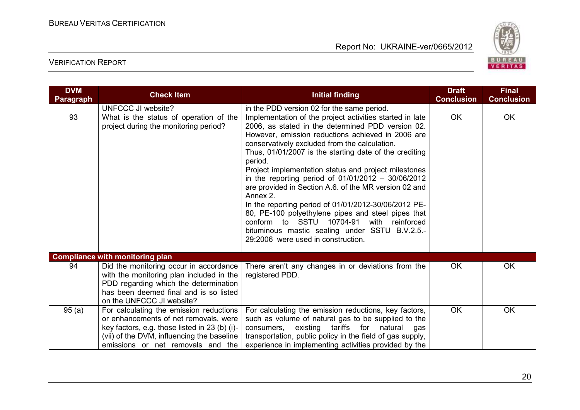

| <b>DVM</b><br>Paragraph | <b>Check Item</b>                                                                                                                                                                                                    | <b>Initial finding</b>                                                                                                                                                                                                                                                                                                                                                                                                                                                                                                                                                                                                                                                                                                                | <b>Draft</b><br><b>Conclusion</b> | <b>Final</b><br><b>Conclusion</b> |
|-------------------------|----------------------------------------------------------------------------------------------------------------------------------------------------------------------------------------------------------------------|---------------------------------------------------------------------------------------------------------------------------------------------------------------------------------------------------------------------------------------------------------------------------------------------------------------------------------------------------------------------------------------------------------------------------------------------------------------------------------------------------------------------------------------------------------------------------------------------------------------------------------------------------------------------------------------------------------------------------------------|-----------------------------------|-----------------------------------|
|                         | UNFCCC JI website?                                                                                                                                                                                                   | in the PDD version 02 for the same period.                                                                                                                                                                                                                                                                                                                                                                                                                                                                                                                                                                                                                                                                                            |                                   |                                   |
| 93                      | What is the status of operation of the<br>project during the monitoring period?                                                                                                                                      | Implementation of the project activities started in late<br>2006, as stated in the determined PDD version 02.<br>However, emission reductions achieved in 2006 are<br>conservatively excluded from the calculation.<br>Thus, 01/01/2007 is the starting date of the crediting<br>period.<br>Project implementation status and project milestones<br>in the reporting period of $01/01/2012 - 30/06/2012$<br>are provided in Section A.6. of the MR version 02 and<br>Annex 2.<br>In the reporting period of 01/01/2012-30/06/2012 PE-<br>80, PE-100 polyethylene pipes and steel pipes that<br>conform to SSTU 10704-91<br>with<br>reinforced<br>bituminous mastic sealing under SSTU B.V.2.5.-<br>29:2006 were used in construction. | <b>OK</b>                         | OK                                |
|                         | <b>Compliance with monitoring plan</b>                                                                                                                                                                               |                                                                                                                                                                                                                                                                                                                                                                                                                                                                                                                                                                                                                                                                                                                                       |                                   |                                   |
| 94                      | Did the monitoring occur in accordance<br>with the monitoring plan included in the<br>PDD regarding which the determination<br>has been deemed final and is so listed<br>on the UNFCCC JI website?                   | There aren't any changes in or deviations from the<br>registered PDD.                                                                                                                                                                                                                                                                                                                                                                                                                                                                                                                                                                                                                                                                 | <b>OK</b>                         | OK                                |
| 95(a)                   | For calculating the emission reductions<br>or enhancements of net removals, were<br>key factors, e.g. those listed in 23 (b) (i)-<br>(vii) of the DVM, influencing the baseline<br>emissions or net removals and the | For calculating the emission reductions, key factors,<br>such as volume of natural gas to be supplied to the<br>existing tariffs for natural<br>consumers,<br>gas<br>transportation, public policy in the field of gas supply,<br>experience in implementing activities provided by the                                                                                                                                                                                                                                                                                                                                                                                                                                               | OK.                               | <b>OK</b>                         |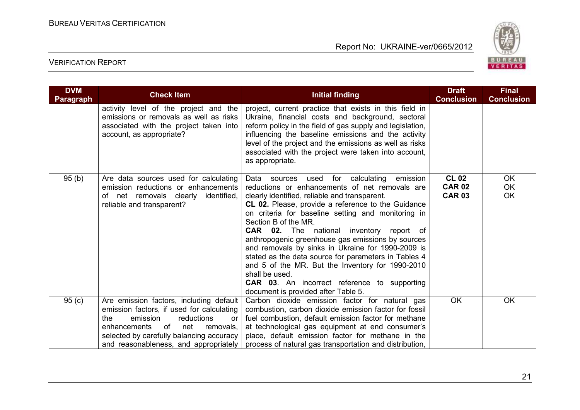

| <b>DVM</b><br><b>Paragraph</b> | <b>Check Item</b>                                                                                                                                                                                                                                          | <b>Initial finding</b>                                                                                                                                                                                                                                                                                                                                                                                                                                                                                                                                                                                                                                                              | <b>Draft</b><br><b>Conclusion</b>              | <b>Final</b><br><b>Conclusion</b>   |
|--------------------------------|------------------------------------------------------------------------------------------------------------------------------------------------------------------------------------------------------------------------------------------------------------|-------------------------------------------------------------------------------------------------------------------------------------------------------------------------------------------------------------------------------------------------------------------------------------------------------------------------------------------------------------------------------------------------------------------------------------------------------------------------------------------------------------------------------------------------------------------------------------------------------------------------------------------------------------------------------------|------------------------------------------------|-------------------------------------|
|                                | activity level of the project and the<br>emissions or removals as well as risks<br>associated with the project taken into<br>account, as appropriate?                                                                                                      | project, current practice that exists in this field in<br>Ukraine, financial costs and background, sectoral<br>reform policy in the field of gas supply and legislation,<br>influencing the baseline emissions and the activity<br>level of the project and the emissions as well as risks<br>associated with the project were taken into account,<br>as appropriate.                                                                                                                                                                                                                                                                                                               |                                                |                                     |
| 95(b)                          | Are data sources used for calculating<br>emission reductions or enhancements<br>of net removals clearly identified,<br>reliable and transparent?                                                                                                           | Data sources<br>for calculating<br>emission<br>used<br>reductions or enhancements of net removals are<br>clearly identified, reliable and transparent.<br>CL 02. Please, provide a reference to the Guidance<br>on criteria for baseline setting and monitoring in<br>Section B of the MR.<br><b>CAR 02.</b> The national inventory report of<br>anthropogenic greenhouse gas emissions by sources<br>and removals by sinks in Ukraine for 1990-2009 is<br>stated as the data source for parameters in Tables 4<br>and 5 of the MR. But the Inventory for 1990-2010<br>shall be used.<br><b>CAR 03.</b> An incorrect reference to supporting<br>document is provided after Table 5. | <b>CL 02</b><br><b>CAR 02</b><br><b>CAR 03</b> | <b>OK</b><br><b>OK</b><br><b>OK</b> |
| 95(c)                          | Are emission factors, including default<br>emission factors, if used for calculating<br>the<br>emission<br>reductions<br>or<br>0f<br>enhancements<br>net<br>removals,<br>selected by carefully balancing accuracy<br>and reasonableness, and appropriately | Carbon dioxide emission factor for natural gas<br>combustion, carbon dioxide emission factor for fossil<br>fuel combustion, default emission factor for methane<br>at technological gas equipment at end consumer's<br>place, default emission factor for methane in the<br>process of natural gas transportation and distribution,                                                                                                                                                                                                                                                                                                                                                 | <b>OK</b>                                      | <b>OK</b>                           |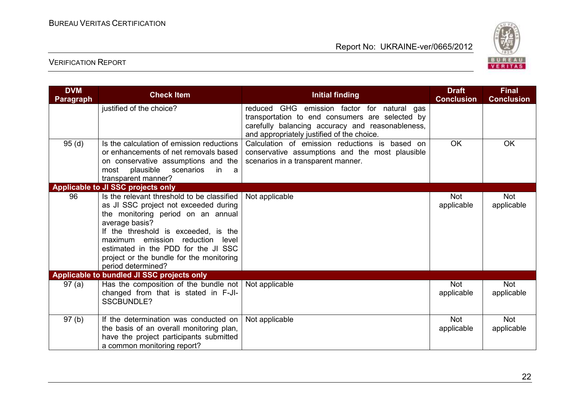

| <b>DVM</b><br><b>Paragraph</b> | <b>Check Item</b>                                                                                                                                                                                                                                                                                                                   | <b>Initial finding</b>                                                                                                                                                                           | <b>Draft</b><br><b>Conclusion</b> | <b>Final</b><br><b>Conclusion</b> |
|--------------------------------|-------------------------------------------------------------------------------------------------------------------------------------------------------------------------------------------------------------------------------------------------------------------------------------------------------------------------------------|--------------------------------------------------------------------------------------------------------------------------------------------------------------------------------------------------|-----------------------------------|-----------------------------------|
|                                | justified of the choice?                                                                                                                                                                                                                                                                                                            | reduced GHG emission factor for natural gas<br>transportation to end consumers are selected by<br>carefully balancing accuracy and reasonableness,<br>and appropriately justified of the choice. |                                   |                                   |
| 95(d)                          | Is the calculation of emission reductions<br>or enhancements of net removals based<br>on conservative assumptions and the<br>plausible<br>scenarios<br>in<br>most<br>a a<br>transparent manner?                                                                                                                                     | Calculation of emission reductions is based on<br>conservative assumptions and the most plausible<br>scenarios in a transparent manner.                                                          | <b>OK</b>                         | <b>OK</b>                         |
|                                | Applicable to JI SSC projects only                                                                                                                                                                                                                                                                                                  |                                                                                                                                                                                                  |                                   |                                   |
| 96                             | Is the relevant threshold to be classified<br>as JI SSC project not exceeded during<br>the monitoring period on an annual<br>average basis?<br>If the threshold is exceeded, is the<br>maximum emission reduction<br>level<br>estimated in the PDD for the JI SSC<br>project or the bundle for the monitoring<br>period determined? | Not applicable                                                                                                                                                                                   | <b>Not</b><br>applicable          | <b>Not</b><br>applicable          |
|                                | Applicable to bundled JI SSC projects only                                                                                                                                                                                                                                                                                          |                                                                                                                                                                                                  |                                   |                                   |
| 97(a)                          | Has the composition of the bundle not $\vert$ Not applicable<br>changed from that is stated in F-JI-<br><b>SSCBUNDLE?</b>                                                                                                                                                                                                           |                                                                                                                                                                                                  | <b>Not</b><br>applicable          | <b>Not</b><br>applicable          |
| 97(b)                          | If the determination was conducted on<br>the basis of an overall monitoring plan,<br>have the project participants submitted<br>a common monitoring report?                                                                                                                                                                         | Not applicable                                                                                                                                                                                   | <b>Not</b><br>applicable          | <b>Not</b><br>applicable          |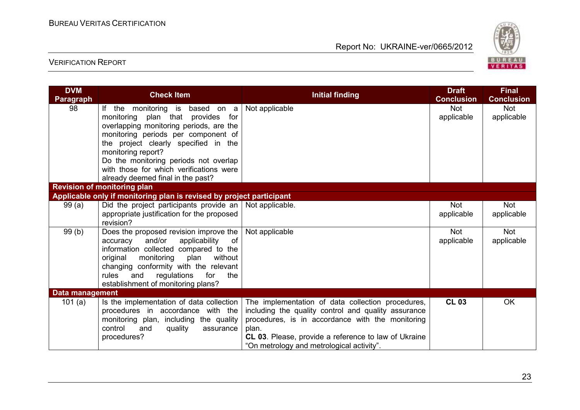

| <b>DVM</b><br><b>Paragraph</b> | <b>Check Item</b>                                                                                                                                                                                                                                                                                         | <b>Initial finding</b>                                                                                                                                                                                                                                                     | <b>Draft</b><br><b>Conclusion</b> | <b>Final</b><br><b>Conclusion</b> |
|--------------------------------|-----------------------------------------------------------------------------------------------------------------------------------------------------------------------------------------------------------------------------------------------------------------------------------------------------------|----------------------------------------------------------------------------------------------------------------------------------------------------------------------------------------------------------------------------------------------------------------------------|-----------------------------------|-----------------------------------|
| 98                             | If the monitoring is based on a<br>monitoring plan that provides for<br>overlapping monitoring periods, are the<br>monitoring periods per component of<br>the project clearly specified in the<br>monitoring report?<br>Do the monitoring periods not overlap<br>with those for which verifications were  | Not applicable                                                                                                                                                                                                                                                             | <b>Not</b><br>applicable          | <b>Not</b><br>applicable          |
|                                | already deemed final in the past?                                                                                                                                                                                                                                                                         |                                                                                                                                                                                                                                                                            |                                   |                                   |
|                                | <b>Revision of monitoring plan</b>                                                                                                                                                                                                                                                                        |                                                                                                                                                                                                                                                                            |                                   |                                   |
|                                | Applicable only if monitoring plan is revised by project participant                                                                                                                                                                                                                                      |                                                                                                                                                                                                                                                                            |                                   |                                   |
| 99(a)                          | Did the project participants provide an $\vert$ Not applicable.<br>appropriate justification for the proposed<br>revision?                                                                                                                                                                                |                                                                                                                                                                                                                                                                            | <b>Not</b><br>applicable          | Not<br>applicable                 |
| 99(b)                          | Does the proposed revision improve the $ $<br>and/or<br>applicability<br>of<br>accuracy<br>information collected compared to the<br>original<br>monitoring<br>without<br>plan<br>changing conformity with the relevant<br>rules<br>and<br>regulations<br>for<br>the<br>establishment of monitoring plans? | Not applicable                                                                                                                                                                                                                                                             | <b>Not</b><br>applicable          | <b>Not</b><br>applicable          |
| Data management                |                                                                                                                                                                                                                                                                                                           |                                                                                                                                                                                                                                                                            |                                   |                                   |
| 101 $(a)$                      | Is the implementation of data collection<br>procedures in accordance with the<br>monitoring plan, including the quality<br>control<br>quality<br>assurance<br>and<br>procedures?                                                                                                                          | The implementation of data collection procedures,<br>including the quality control and quality assurance<br>procedures, is in accordance with the monitoring<br>plan.<br>CL 03. Please, provide a reference to law of Ukraine<br>"On metrology and metrological activity". | <b>CL 03</b>                      | <b>OK</b>                         |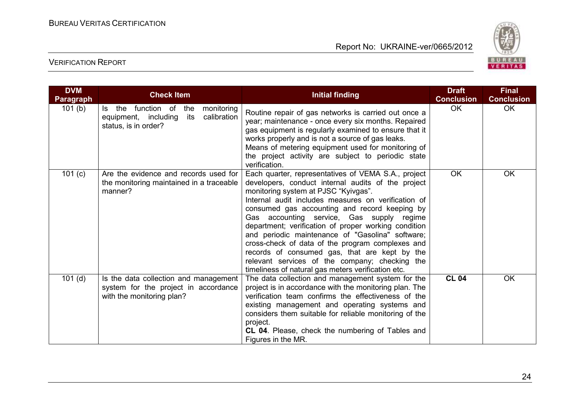

| <b>DVM</b><br><b>Paragraph</b> | <b>Check Item</b>                                                                                                | <b>Initial finding</b>                                                                                                                                                                                                                                                                                                                                                                                                                                                                                                                                                                                                          | <b>Draft</b><br><b>Conclusion</b> | <b>Final</b><br><b>Conclusion</b> |
|--------------------------------|------------------------------------------------------------------------------------------------------------------|---------------------------------------------------------------------------------------------------------------------------------------------------------------------------------------------------------------------------------------------------------------------------------------------------------------------------------------------------------------------------------------------------------------------------------------------------------------------------------------------------------------------------------------------------------------------------------------------------------------------------------|-----------------------------------|-----------------------------------|
| 101(b)                         | function of<br>monitoring<br>Is the<br>the<br>calibration<br>equipment, including<br>its<br>status, is in order? | Routine repair of gas networks is carried out once a<br>year; maintenance - once every six months. Repaired<br>gas equipment is regularly examined to ensure that it<br>works properly and is not a source of gas leaks.<br>Means of metering equipment used for monitoring of<br>the project activity are subject to periodic state<br>verification.                                                                                                                                                                                                                                                                           | <b>OK</b>                         | <b>OK</b>                         |
| 101 $(c)$                      | Are the evidence and records used for<br>the monitoring maintained in a traceable<br>manner?                     | Each quarter, representatives of VEMA S.A., project<br>developers, conduct internal audits of the project<br>monitoring system at PJSC "Kyivgas".<br>Internal audit includes measures on verification of<br>consumed gas accounting and record keeping by<br>Gas accounting service, Gas supply regime<br>department; verification of proper working condition<br>and periodic maintenance of "Gasolina" software;<br>cross-check of data of the program complexes and<br>records of consumed gas, that are kept by the<br>relevant services of the company; checking the<br>timeliness of natural gas meters verification etc. | <b>OK</b>                         | <b>OK</b>                         |
| $101$ (d)                      | Is the data collection and management<br>system for the project in accordance<br>with the monitoring plan?       | The data collection and management system for the<br>project is in accordance with the monitoring plan. The<br>verification team confirms the effectiveness of the<br>existing management and operating systems and<br>considers them suitable for reliable monitoring of the<br>project.<br>CL 04. Please, check the numbering of Tables and<br>Figures in the MR.                                                                                                                                                                                                                                                             | <b>CL 04</b>                      | <b>OK</b>                         |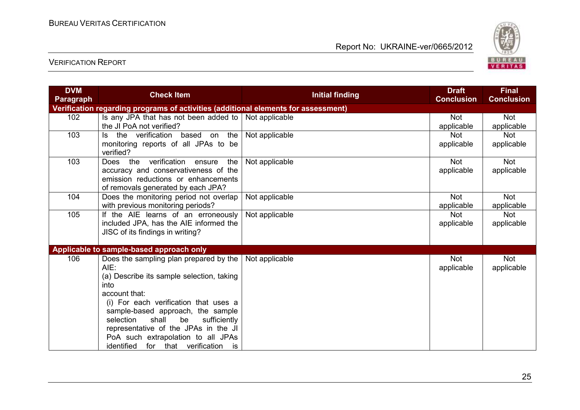

| <b>DVM</b>       | <b>Check Item</b>                                                                  | <b>Initial finding</b> | <b>Draft</b>      | <b>Final</b>      |  |  |
|------------------|------------------------------------------------------------------------------------|------------------------|-------------------|-------------------|--|--|
| <b>Paragraph</b> |                                                                                    |                        | <b>Conclusion</b> | <b>Conclusion</b> |  |  |
|                  | Verification regarding programs of activities (additional elements for assessment) |                        |                   |                   |  |  |
| 102              | Is any JPA that has not been added to $\vert$ Not applicable                       |                        | <b>Not</b>        | <b>Not</b>        |  |  |
|                  | the JI PoA not verified?                                                           |                        | applicable        | applicable        |  |  |
| 103              | the verification<br>based on the<br>ls.                                            | Not applicable         | <b>Not</b>        | <b>Not</b>        |  |  |
|                  | monitoring reports of all JPAs to be                                               |                        | applicable        | applicable        |  |  |
|                  | verified?                                                                          |                        |                   |                   |  |  |
| 103              | verification ensure<br>Does the<br>the                                             | Not applicable         | <b>Not</b>        | <b>Not</b>        |  |  |
|                  | accuracy and conservativeness of the                                               |                        | applicable        | applicable        |  |  |
|                  | emission reductions or enhancements                                                |                        |                   |                   |  |  |
|                  | of removals generated by each JPA?                                                 |                        |                   |                   |  |  |
| 104              | Does the monitoring period not overlap                                             | Not applicable         | <b>Not</b>        | <b>Not</b>        |  |  |
|                  | with previous monitoring periods?                                                  |                        | applicable        | applicable        |  |  |
| 105              | If the AIE learns of an erroneously                                                | Not applicable         | <b>Not</b>        | <b>Not</b>        |  |  |
|                  | included JPA, has the AIE informed the                                             |                        | applicable        | applicable        |  |  |
|                  | JISC of its findings in writing?                                                   |                        |                   |                   |  |  |
|                  |                                                                                    |                        |                   |                   |  |  |
|                  | Applicable to sample-based approach only                                           |                        |                   |                   |  |  |
| 106              | Does the sampling plan prepared by the                                             | Not applicable         | <b>Not</b>        | Not               |  |  |
|                  | AIE:                                                                               |                        | applicable        | applicable        |  |  |
|                  | (a) Describe its sample selection, taking                                          |                        |                   |                   |  |  |
|                  | into                                                                               |                        |                   |                   |  |  |
|                  | account that:                                                                      |                        |                   |                   |  |  |
|                  | (i) For each verification that uses a                                              |                        |                   |                   |  |  |
|                  | sample-based approach, the sample                                                  |                        |                   |                   |  |  |
|                  | shall<br>be<br>sufficiently<br>selection                                           |                        |                   |                   |  |  |
|                  | representative of the JPAs in the JI                                               |                        |                   |                   |  |  |
|                  | PoA such extrapolation to all JPAs                                                 |                        |                   |                   |  |  |
|                  | identified for that verification is                                                |                        |                   |                   |  |  |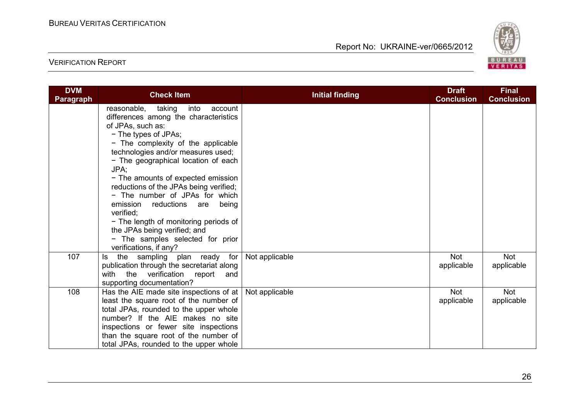

| <b>DVM</b><br><b>Paragraph</b> | <b>Check Item</b>                                                                                                                                                                                                                                                                                                                                                                                                                                                                                                                      | <b>Initial finding</b> | <b>Draft</b><br><b>Conclusion</b> | <b>Final</b><br><b>Conclusion</b> |
|--------------------------------|----------------------------------------------------------------------------------------------------------------------------------------------------------------------------------------------------------------------------------------------------------------------------------------------------------------------------------------------------------------------------------------------------------------------------------------------------------------------------------------------------------------------------------------|------------------------|-----------------------------------|-----------------------------------|
|                                | reasonable, taking<br>into<br>account<br>differences among the characteristics<br>of JPAs, such as:<br>- The types of JPAs;<br>- The complexity of the applicable<br>technologies and/or measures used;<br>- The geographical location of each<br>JPA:<br>- The amounts of expected emission<br>reductions of the JPAs being verified;<br>- The number of JPAs for which<br>emission reductions are<br>being<br>verified;<br>- The length of monitoring periods of<br>the JPAs being verified; and<br>- The samples selected for prior |                        |                                   |                                   |
| 107                            | verifications, if any?<br>the sampling plan ready for<br>ls.<br>publication through the secretariat along<br>with the verification report<br>and<br>supporting documentation?                                                                                                                                                                                                                                                                                                                                                          | Not applicable         | <b>Not</b><br>applicable          | <b>Not</b><br>applicable          |
| 108                            | Has the AIE made site inspections of at $ $<br>least the square root of the number of<br>total JPAs, rounded to the upper whole<br>number? If the AIE makes no site<br>inspections or fewer site inspections<br>than the square root of the number of<br>total JPAs, rounded to the upper whole                                                                                                                                                                                                                                        | Not applicable         | <b>Not</b><br>applicable          | <b>Not</b><br>applicable          |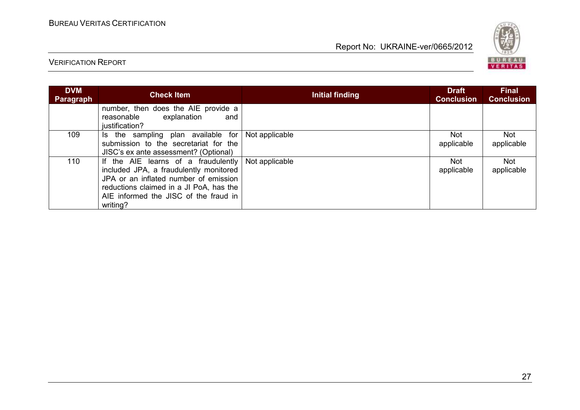

| <b>DVM</b><br>Paragraph | <b>Check Item</b>                                                                                                                                                                                                      | Initial finding | <b>Draft</b><br><b>Conclusion</b> | <b>Final</b><br><b>Conclusion</b> |
|-------------------------|------------------------------------------------------------------------------------------------------------------------------------------------------------------------------------------------------------------------|-----------------|-----------------------------------|-----------------------------------|
|                         | number, then does the AIE provide a<br>explanation<br>reasonable<br>and<br>justification?                                                                                                                              |                 |                                   |                                   |
| 109                     | Is the sampling plan available for<br>submission to the secretariat for the<br>JISC's ex ante assessment? (Optional)                                                                                                   | Not applicable  | Not<br>applicable                 | Not<br>applicable                 |
| 110                     | If the AIE learns of a fraudulently<br>included JPA, a fraudulently monitored<br>JPA or an inflated number of emission<br>reductions claimed in a JI PoA, has the<br>AIE informed the JISC of the fraud in<br>writing? | Not applicable  | <b>Not</b><br>applicable          | <b>Not</b><br>applicable          |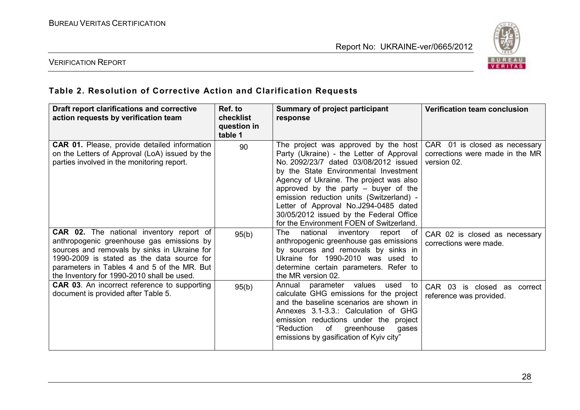

#### VERIFICATION REPORT

## **Table 2. Resolution of Corrective Action and Clarification Requests**

| Draft report clarifications and corrective<br>action requests by verification team                                                                                                                                                                                                      | Ref. to<br>checklist<br>question in<br>table 1 | <b>Summary of project participant</b><br>response                                                                                                                                                                                                                                                                                                                                                                                   | <b>Verification team conclusion</b>                                             |
|-----------------------------------------------------------------------------------------------------------------------------------------------------------------------------------------------------------------------------------------------------------------------------------------|------------------------------------------------|-------------------------------------------------------------------------------------------------------------------------------------------------------------------------------------------------------------------------------------------------------------------------------------------------------------------------------------------------------------------------------------------------------------------------------------|---------------------------------------------------------------------------------|
| <b>CAR 01.</b> Please, provide detailed information<br>on the Letters of Approval (LoA) issued by the<br>parties involved in the monitoring report.                                                                                                                                     | 90                                             | The project was approved by the host<br>Party (Ukraine) - the Letter of Approval<br>No. 2092/23/7 dated 03/08/2012 issued<br>by the State Environmental Investment<br>Agency of Ukraine. The project was also<br>approved by the party $-$ buyer of the<br>emission reduction units (Switzerland) -<br>Letter of Approval No.J294-0485 dated<br>30/05/2012 issued by the Federal Office<br>for the Environment FOEN of Switzerland. | CAR 01 is closed as necessary<br>corrections were made in the MR<br>version 02. |
| <b>CAR 02.</b> The national inventory report of<br>anthropogenic greenhouse gas emissions by<br>sources and removals by sinks in Ukraine for<br>1990-2009 is stated as the data source for<br>parameters in Tables 4 and 5 of the MR. But<br>the Inventory for 1990-2010 shall be used. | 95(b)                                          | The<br>national<br>inventory<br>report of<br>anthropogenic greenhouse gas emissions<br>by sources and removals by sinks in<br>Ukraine for 1990-2010 was used to<br>determine certain parameters. Refer to<br>the MR version 02.                                                                                                                                                                                                     | CAR 02 is closed as necessary<br>corrections were made.                         |
| <b>CAR 03.</b> An incorrect reference to supporting<br>document is provided after Table 5.                                                                                                                                                                                              | 95(b)                                          | parameter values<br>Annual<br>used to<br>calculate GHG emissions for the project<br>and the baseline scenarios are shown in<br>Annexes 3.1-3.3.: Calculation of GHG<br>emission reductions under the project<br>of greenhouse<br>"Reduction<br>gases<br>emissions by gasification of Kyiv city"                                                                                                                                     | CAR 03 is closed as correct<br>reference was provided.                          |